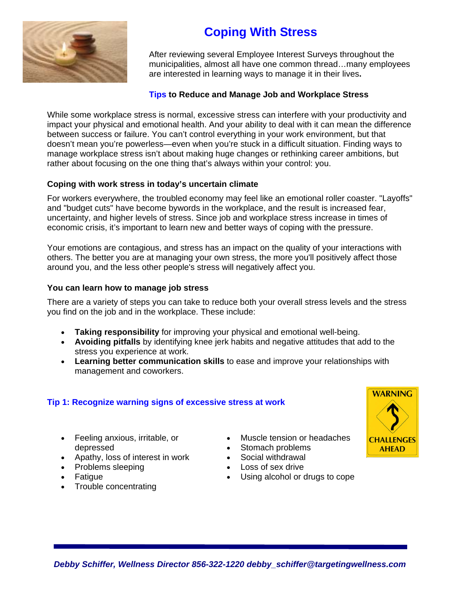

# **Coping With Stress**

After reviewing several Employee Interest Surveys throughout the municipalities, almost all have one common thread…many employees are interested in learning ways to manage it in their lives**.** 

# **Tips to Reduce and Manage Job and Workplace Stress**

While some workplace stress is normal, excessive stress can interfere with your productivity and impact your physical and emotional health. And your ability to deal with it can mean the difference between success or failure. You can't control everything in your work environment, but that doesn't mean you're powerless—even when you're stuck in a difficult situation. Finding ways to manage workplace stress isn't about making huge changes or rethinking career ambitions, but rather about focusing on the one thing that's always within your control: you.

# **Coping with work stress in today's uncertain climate**

For workers everywhere, the troubled economy may feel like an emotional roller coaster. "Layoffs" and "budget cuts" have become bywords in the workplace, and the result is increased fear, uncertainty, and higher levels of stress. Since job and workplace stress increase in times of economic crisis, it's important to learn new and better ways of coping with the pressure.

Your emotions are contagious, and stress has an impact on the quality of your interactions with others. The better you are at managing your own stress, the more you'll positively affect those around you, and the less other people's stress will negatively affect you.

# **You can learn how to manage job stress**

There are a variety of steps you can take to reduce both your overall stress levels and the stress you find on the job and in the workplace. These include:

- **Taking responsibility** for improving your physical and emotional well-being.
- **Avoiding pitfalls** by identifying knee jerk habits and negative attitudes that add to the stress you experience at work.
- **Learning better communication skills** to ease and improve your relationships with management and coworkers.

# **Tip 1: Recognize warning signs of excessive stress at work**

- Feeling anxious, irritable, or depressed
- Apathy, loss of interest in work
- Problems sleeping
- Fatigue
- Trouble concentrating
- Muscle tension or headaches
- Stomach problems
- Social withdrawal
- Loss of sex drive
- Using alcohol or drugs to cope

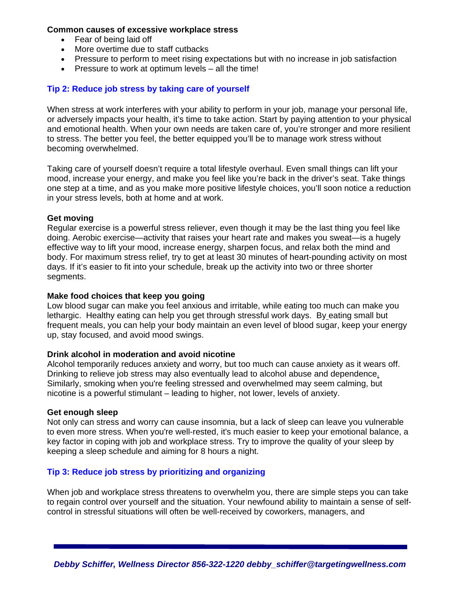#### **Common causes of excessive workplace stress**

- Fear of being laid off
- More overtime due to staff cutbacks
- Pressure to perform to meet rising expectations but with no increase in job satisfaction
- Pressure to work at optimum levels all the time!

#### **Tip 2: Reduce job stress by taking care of yourself**

When stress at work interferes with your ability to perform in your job, manage your personal life, or adversely impacts your health, it's time to take action. Start by paying attention to your physical and emotional health. When your own needs are taken care of, you're stronger and more resilient to stress. The better you feel, the better equipped you'll be to manage work stress without becoming overwhelmed.

Taking care of yourself doesn't require a total lifestyle overhaul. Even small things can lift your mood, increase your energy, and make you feel like you're back in the driver's seat. Take things one step at a time, and as you make more positive lifestyle choices, you'll soon notice a reduction in your stress levels, both at home and at work.

#### **Get moving**

Regular exercise is a powerful stress reliever, even though it may be the last thing you feel like doing. Aerobic exercise—activity that raises your heart rate and makes you sweat—is a hugely effective way to lift your mood, increase energy, sharpen focus, and relax both the mind and body. For maximum stress relief, try to get at least 30 minutes of heart-pounding activity on most days. If it's easier to fit into your schedule, break up the activity into two or three shorter segments.

#### **Make food choices that keep you going**

Low blood sugar can make you feel anxious and irritable, while eating too much can make you lethargic. Healthy eating can help you get through stressful work days. By eating small but frequent meals, you can help your body maintain an even level of blood sugar, keep your energy up, stay focused, and avoid mood swings.

#### **Drink alcohol in moderation and avoid nicotine**

Alcohol temporarily reduces anxiety and worry, but too much can cause anxiety as it wears off. Drinking to relieve job stress may also eventually lead to alcohol abuse and dependence. Similarly, smoking when you're feeling stressed and overwhelmed may seem calming, but nicotine is a powerful stimulant – leading to higher, not lower, levels of anxiety.

#### **Get enough sleep**

Not only can stress and worry can cause insomnia, but a lack of sleep can leave you vulnerable to even more stress. When you're well-rested, it's much easier to keep your emotional balance, a key factor in coping with job and workplace stress. Try to improve the quality of your sleep by keeping a sleep schedule and aiming for 8 hours a night.

#### **Tip 3: Reduce job stress by prioritizing and organizing**

When job and workplace stress threatens to overwhelm you, there are simple steps you can take to regain control over yourself and the situation. Your newfound ability to maintain a sense of selfcontrol in stressful situations will often be well-received by coworkers, managers, and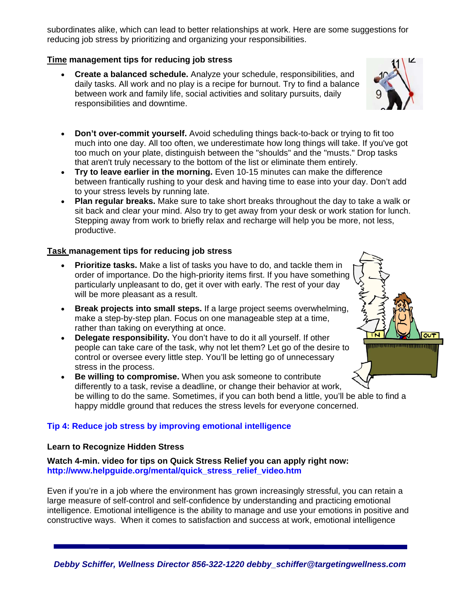*Debby Schiffer, Wellness Director 856-322-1220 debby\_schiffer@targetingwellness.com* 

subordinates alike, which can lead to better relationships at work. Here are some suggestions for reducing job stress by prioritizing and organizing your responsibilities.

## **Time management tips for reducing job stress**

- **Create a balanced schedule.** Analyze your schedule, responsibilities, and daily tasks. All work and no play is a recipe for burnout. Try to find a balance between work and family life, social activities and solitary pursuits, daily responsibilities and downtime.
- **Don't over-commit yourself.** Avoid scheduling things back-to-back or trying to fit too much into one day. All too often, we underestimate how long things will take. If you've got too much on your plate, distinguish between the "shoulds" and the "musts." Drop tasks that aren't truly necessary to the bottom of the list or eliminate them entirely.
- **Try to leave earlier in the morning.** Even 10-15 minutes can make the difference between frantically rushing to your desk and having time to ease into your day. Don't add to your stress levels by running late.
- **Plan regular breaks.** Make sure to take short breaks throughout the day to take a walk or sit back and clear your mind. Also try to get away from your desk or work station for lunch. Stepping away from work to briefly relax and recharge will help you be more, not less, productive.

#### **Task management tips for reducing job stress**

- **Prioritize tasks.** Make a list of tasks you have to do, and tackle them in order of importance. Do the high-priority items first. If you have something particularly unpleasant to do, get it over with early. The rest of your day will be more pleasant as a result.
- **Break projects into small steps.** If a large project seems overwhelming, make a step-by-step plan. Focus on one manageable step at a time, rather than taking on everything at once.
- **Delegate responsibility.** You don't have to do it all yourself. If other people can take care of the task, why not let them? Let go of the desire to control or oversee every little step. You'll be letting go of unnecessary stress in the process.
- **Be willing to compromise.** When you ask someone to contribute differently to a task, revise a deadline, or change their behavior at work, be willing to do the same. Sometimes, if you can both bend a little, you'll be able to find a happy middle ground that reduces the stress levels for everyone concerned.

# **Tip 4: Reduce job stress by improving emotional intelligence**

#### **Learn to Recognize Hidden Stress**

**Watch 4-min. video for tips on Quick Stress Relief you can apply right now: http://www.helpguide.org/mental/quick\_stress\_relief\_video.htm** 

Even if you're in a job where the environment has grown increasingly stressful, you can retain a large measure of self-control and self-confidence by understanding and practicing emotional intelligence. Emotional intelligence is the ability to manage and use your emotions in positive and constructive ways. When it comes to satisfaction and success at work, emotional intelligence



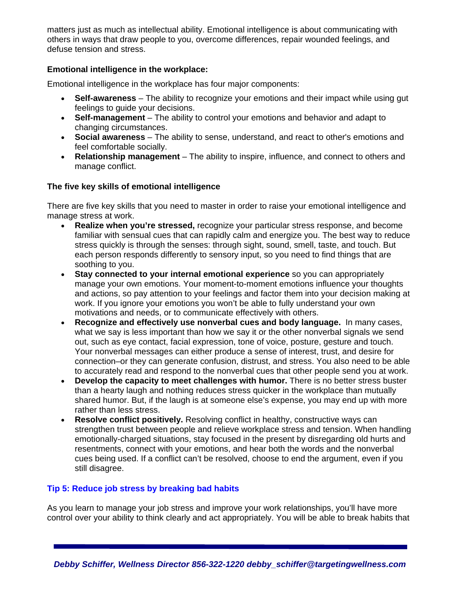matters just as much as intellectual ability. Emotional intelligence is about communicating with others in ways that draw people to you, overcome differences, repair wounded feelings, and defuse tension and stress.

# **Emotional intelligence in the workplace:**

Emotional intelligence in the workplace has four major components:

- **Self-awareness** The ability to recognize your emotions and their impact while using gut feelings to guide your decisions.
- **Self-management** The ability to control your emotions and behavior and adapt to changing circumstances.
- **Social awareness** The ability to sense, understand, and react to other's emotions and feel comfortable socially.
- **Relationship management** The ability to inspire, influence, and connect to others and manage conflict.

# **The five key skills of emotional intelligence**

There are five key skills that you need to master in order to raise your emotional intelligence and manage stress at work.

- **Realize when you're stressed,** recognize your particular stress response, and become familiar with sensual cues that can rapidly calm and energize you. The best way to reduce stress quickly is through the senses: through sight, sound, smell, taste, and touch. But each person responds differently to sensory input, so you need to find things that are soothing to you.
- **Stay connected to your internal emotional experience** so you can appropriately manage your own emotions. Your moment-to-moment emotions influence your thoughts and actions, so pay attention to your feelings and factor them into your decision making at work. If you ignore your emotions you won't be able to fully understand your own motivations and needs, or to communicate effectively with others.
- **Recognize and effectively use nonverbal cues and body language.** In many cases, what we say is less important than how we say it or the other nonverbal signals we send out, such as eye contact, facial expression, tone of voice, posture, gesture and touch. Your nonverbal messages can either produce a sense of interest, trust, and desire for connection–or they can generate confusion, distrust, and stress. You also need to be able to accurately read and respond to the nonverbal cues that other people send you at work.
- **Develop the capacity to meet challenges with humor.** There is no better stress buster than a hearty laugh and nothing reduces stress quicker in the workplace than mutually shared humor. But, if the laugh is at someone else's expense, you may end up with more rather than less stress.
- **Resolve conflict positively.** Resolving conflict in healthy, constructive ways can strengthen trust between people and relieve workplace stress and tension. When handling emotionally-charged situations, stay focused in the present by disregarding old hurts and resentments, connect with your emotions, and hear both the words and the nonverbal cues being used. If a conflict can't be resolved, choose to end the argument, even if you still disagree.

# **Tip 5: Reduce job stress by breaking bad habits**

As you learn to manage your job stress and improve your work relationships, you'll have more control over your ability to think clearly and act appropriately. You will be able to break habits that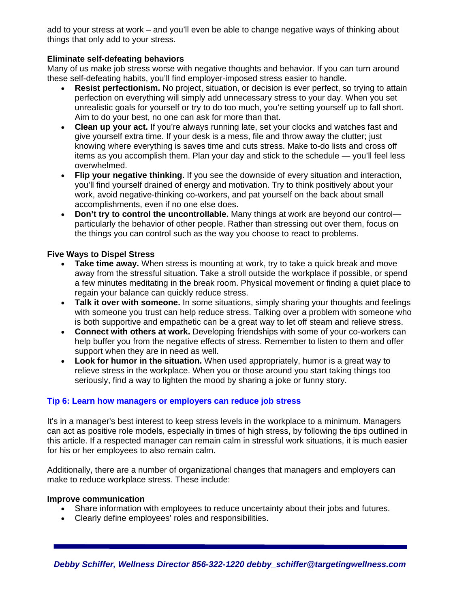add to your stress at work – and you'll even be able to change negative ways of thinking about things that only add to your stress.

## **Eliminate self-defeating behaviors**

Many of us make job stress worse with negative thoughts and behavior. If you can turn around these self-defeating habits, you'll find employer-imposed stress easier to handle.

- **Resist perfectionism.** No project, situation, or decision is ever perfect, so trying to attain perfection on everything will simply add unnecessary stress to your day. When you set unrealistic goals for yourself or try to do too much, you're setting yourself up to fall short. Aim to do your best, no one can ask for more than that.
- **Clean up your act.** If you're always running late, set your clocks and watches fast and give yourself extra time. If your desk is a mess, file and throw away the clutter; just knowing where everything is saves time and cuts stress. Make to-do lists and cross off items as you accomplish them. Plan your day and stick to the schedule — you'll feel less overwhelmed.
- **Flip your negative thinking.** If you see the downside of every situation and interaction, you'll find yourself drained of energy and motivation. Try to think positively about your work, avoid negative-thinking co-workers, and pat yourself on the back about small accomplishments, even if no one else does.
- **Don't try to control the uncontrollable.** Many things at work are beyond our control particularly the behavior of other people. Rather than stressing out over them, focus on the things you can control such as the way you choose to react to problems.

#### **Five Ways to Dispel Stress**

- **Take time away.** When stress is mounting at work, try to take a quick break and move away from the stressful situation. Take a stroll outside the workplace if possible, or spend a few minutes meditating in the break room. Physical movement or finding a quiet place to regain your balance can quickly reduce stress.
- **Talk it over with someone.** In some situations, simply sharing your thoughts and feelings with someone you trust can help reduce stress. Talking over a problem with someone who is both supportive and empathetic can be a great way to let off steam and relieve stress.
- **Connect with others at work.** Developing friendships with some of your co-workers can help buffer you from the negative effects of stress. Remember to listen to them and offer support when they are in need as well.
- **Look for humor in the situation.** When used appropriately, humor is a great way to relieve stress in the workplace. When you or those around you start taking things too seriously, find a way to lighten the mood by sharing a joke or funny story.

#### **Tip 6: Learn how managers or employers can reduce job stress**

It's in a manager's best interest to keep stress levels in the workplace to a minimum. Managers can act as positive role models, especially in times of high stress, by following the tips outlined in this article. If a respected manager can remain calm in stressful work situations, it is much easier for his or her employees to also remain calm.

Additionally, there are a number of organizational changes that managers and employers can make to reduce workplace stress. These include:

#### **Improve communication**

- Share information with employees to reduce uncertainty about their jobs and futures.
- Clearly define employees' roles and responsibilities.